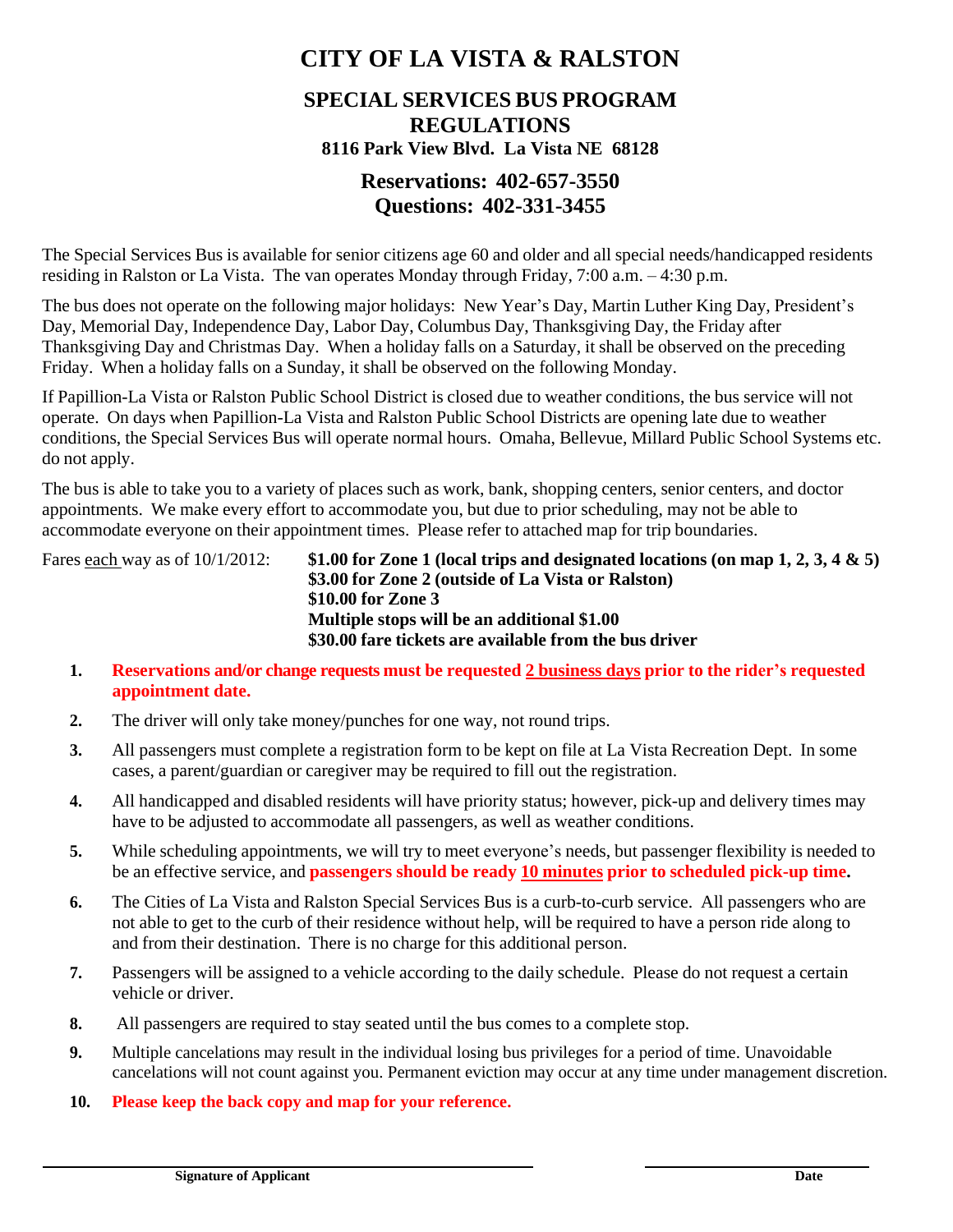# **CITY OF LA VISTA & RALSTON**

#### **SPECIAL SERVICES BUS PROGRAM REGULATIONS 8116 Park View Blvd. La Vista NE 68128**

### **Reservations: 402-657-3550 Questions: 402-331-3455**

The Special Services Bus is available for senior citizens age 60 and older and all special needs/handicapped residents residing in Ralston or La Vista. The van operates Monday through Friday, 7:00 a.m. – 4:30 p.m.

The bus does not operate on the following major holidays: New Year's Day, Martin Luther King Day, President's Day, Memorial Day, Independence Day, Labor Day, Columbus Day, Thanksgiving Day, the Friday after Thanksgiving Day and Christmas Day. When a holiday falls on a Saturday, it shall be observed on the preceding Friday. When a holiday falls on a Sunday, it shall be observed on the following Monday.

If Papillion-La Vista or Ralston Public School District is closed due to weather conditions, the bus service will not operate. On days when Papillion-La Vista and Ralston Public School Districts are opening late due to weather conditions, the Special Services Bus will operate normal hours. Omaha, Bellevue, Millard Public School Systems etc. do not apply.

The bus is able to take you to a variety of places such as work, bank, shopping centers, senior centers, and doctor appointments. We make every effort to accommodate you, but due to prior scheduling, may not be able to accommodate everyone on their appointment times. Please refer to attached map for trip boundaries.

Fares each way as of 10/1/2012: **\$1.00 for Zone 1 (local trips and designated locations (on map 1, 2, 3, 4 & 5) \$3.00 for Zone 2 (outside of La Vista or Ralston) \$10.00 for Zone 3 Multiple stops will be an additional \$1.00 \$30.00 fare tickets are available from the bus driver**

- **1. Reservations and/or change requests must be requested 2 business days prior to the rider's requested appointment date.**
- **2.** The driver will only take money/punches for one way, not round trips.
- **3.** All passengers must complete a registration form to be kept on file at La Vista Recreation Dept. In some cases, a parent/guardian or caregiver may be required to fill out the registration.
- **4.** All handicapped and disabled residents will have priority status; however, pick-up and delivery times may have to be adjusted to accommodate all passengers, as well as weather conditions.
- **5.** While scheduling appointments, we will try to meet everyone's needs, but passenger flexibility is needed to be an effective service, and **passengers should be ready 10 minutes prior to scheduled pick-up time.**
- **6.** The Cities of La Vista and Ralston Special Services Bus is a curb-to-curb service. All passengers who are not able to get to the curb of their residence without help, will be required to have a person ride along to and from their destination. There is no charge for this additional person.
- **7.** Passengers will be assigned to a vehicle according to the daily schedule. Please do not request a certain vehicle or driver.
- **8.** All passengers are required to stay seated until the bus comes to a complete stop.
- **9.** Multiple cancelations may result in the individual losing bus privileges for a period of time. Unavoidable cancelations will not count against you. Permanent eviction may occur at any time under management discretion.
- **10. Please keep the back copy and map for your reference.**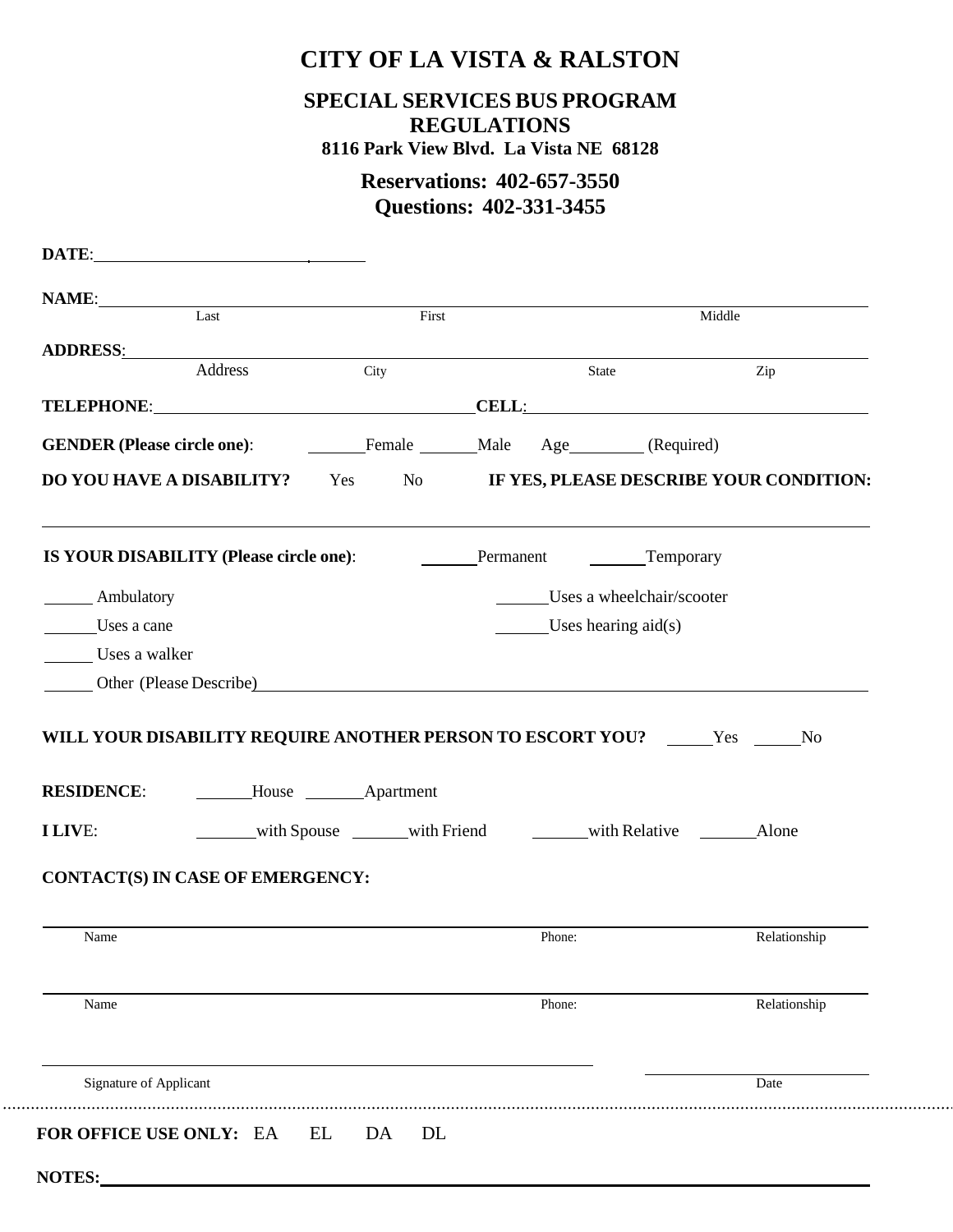# **CITY OF LA VISTA & RALSTON**

### **SPECIAL SERVICES BUS PROGRAM REGULATIONS**

**8116 Park View Blvd. La Vista NE 68128**

### **Reservations: 402-657-3550 Questions: 402-331-3455**

| <b>NAME:</b><br>Last First                                                                                                                                     |                        |      |                                             | Middle       |
|----------------------------------------------------------------------------------------------------------------------------------------------------------------|------------------------|------|---------------------------------------------|--------------|
| ADDRESS: ADDRESS:                                                                                                                                              |                        |      |                                             |              |
| Address                                                                                                                                                        |                        | City | State                                       | Zip          |
| TELEPHONE: CELL: CELL:                                                                                                                                         |                        |      |                                             |              |
| <b>GENDER (Please circle one):</b> Female Male Age (Required)                                                                                                  |                        |      |                                             |              |
| DO YOU HAVE A DISABILITY? Yes No IF YES, PLEASE DESCRIBE YOUR CONDITION:                                                                                       |                        |      |                                             |              |
| <b>IS YOUR DISABILITY (Please circle one):</b>                                                                                                                 |                        |      | Permanent Temporary                         |              |
| Ambulatory                                                                                                                                                     |                        |      | Uses a wheelchair/scooter                   |              |
| Uses a cane                                                                                                                                                    |                        |      | Uses hearing $aid(s)$                       |              |
|                                                                                                                                                                |                        |      |                                             |              |
| Uses a walker                                                                                                                                                  |                        |      |                                             |              |
| Other (Please Describe)                                                                                                                                        |                        |      |                                             |              |
|                                                                                                                                                                | House <b>Apartment</b> |      |                                             |              |
|                                                                                                                                                                |                        |      | with Spouse with Friend with Relative Alone |              |
|                                                                                                                                                                |                        |      |                                             |              |
| Name                                                                                                                                                           |                        |      | Phone:                                      | Relationship |
| WILL YOUR DISABILITY REQUIRE ANOTHER PERSON TO ESCORT YOU? _____Yes _____No<br><b>RESIDENCE:</b><br>I LIVE:<br><b>CONTACT(S) IN CASE OF EMERGENCY:</b><br>Name |                        |      | Phone:                                      | Relationship |
| Signature of Applicant                                                                                                                                         |                        |      |                                             | Date         |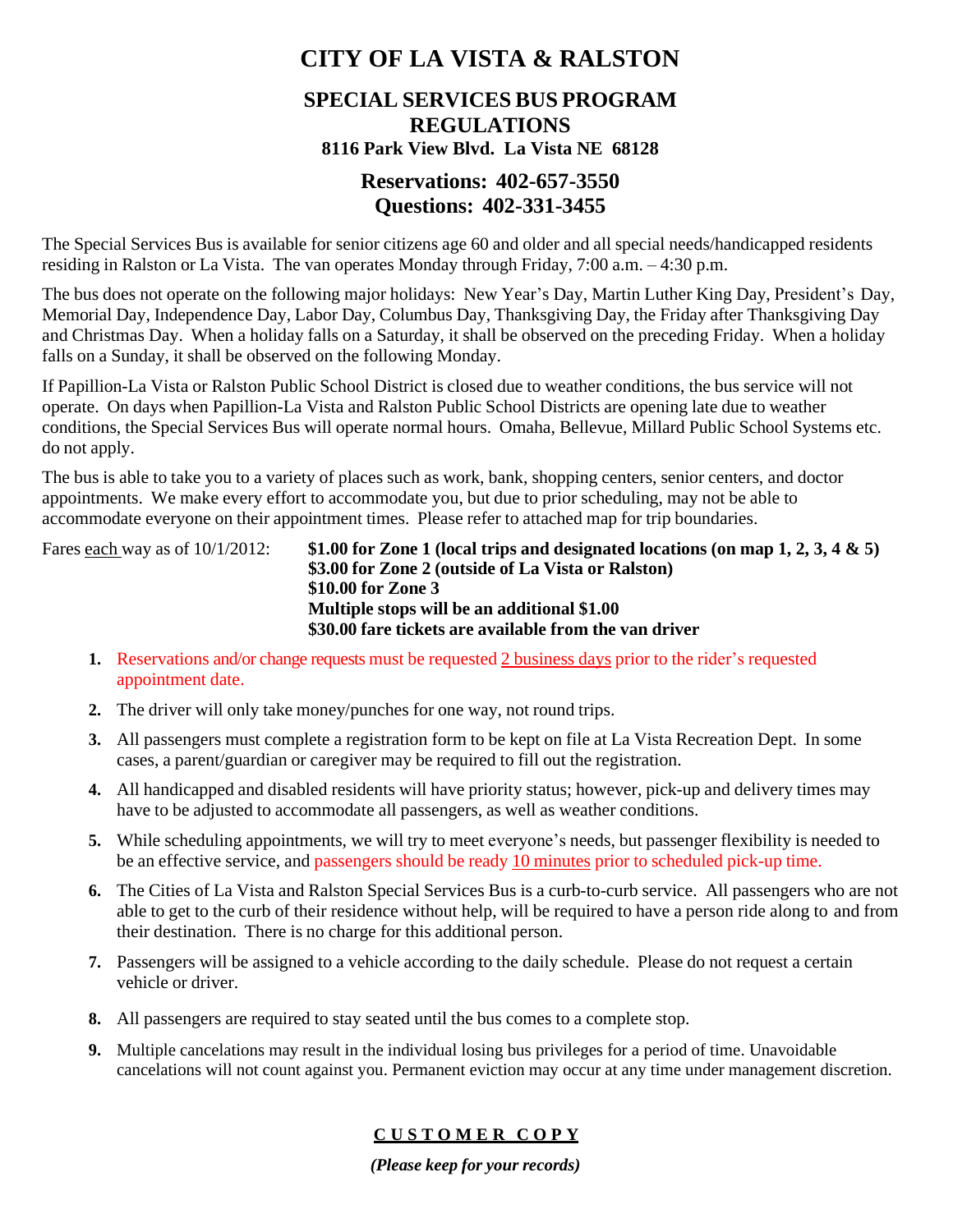# **CITY OF LA VISTA & RALSTON**

# **SPECIAL SERVICES BUS PROGRAM REGULATIONS**

#### **8116 Park View Blvd. La Vista NE 68128**

### **Reservations: 402-657-3550 Questions: 402-331-3455**

The Special Services Bus is available for senior citizens age 60 and older and all special needs/handicapped residents residing in Ralston or La Vista. The van operates Monday through Friday, 7:00 a.m. – 4:30 p.m.

The bus does not operate on the following major holidays: New Year's Day, Martin Luther King Day, President's Day, Memorial Day, Independence Day, Labor Day, Columbus Day, Thanksgiving Day, the Friday after Thanksgiving Day and Christmas Day. When a holiday falls on a Saturday, it shall be observed on the preceding Friday. When a holiday falls on a Sunday, it shall be observed on the following Monday.

If Papillion-La Vista or Ralston Public School District is closed due to weather conditions, the bus service will not operate. On days when Papillion-La Vista and Ralston Public School Districts are opening late due to weather conditions, the Special Services Bus will operate normal hours. Omaha, Bellevue, Millard Public School Systems etc. do not apply.

The bus is able to take you to a variety of places such as work, bank, shopping centers, senior centers, and doctor appointments. We make every effort to accommodate you, but due to prior scheduling, may not be able to accommodate everyone on their appointment times. Please refer to attached map for trip boundaries.

Fares each way as of 10/1/2012: **\$1.00 for Zone 1 (local trips and designated locations (on map 1, 2, 3, 4 & 5) \$3.00 for Zone 2 (outside of La Vista or Ralston) \$10.00 for Zone 3 Multiple stops will be an additional \$1.00 \$30.00 fare tickets are available from the van driver**

- **1.** Reservations and/or change requests must be requested 2 business days prior to the rider's requested appointment date.
- **2.** The driver will only take money/punches for one way, not round trips.
- **3.** All passengers must complete a registration form to be kept on file at La Vista Recreation Dept. In some cases, a parent/guardian or caregiver may be required to fill out the registration.
- **4.** All handicapped and disabled residents will have priority status; however, pick-up and delivery times may have to be adjusted to accommodate all passengers, as well as weather conditions.
- **5.** While scheduling appointments, we will try to meet everyone's needs, but passenger flexibility is needed to be an effective service, and passengers should be ready 10 minutes prior to scheduled pick-up time.
- **6.** The Cities of La Vista and Ralston Special Services Bus is a curb-to-curb service. All passengers who are not able to get to the curb of their residence without help, will be required to have a person ride along to and from their destination. There is no charge for this additional person.
- **7.** Passengers will be assigned to a vehicle according to the daily schedule. Please do not request a certain vehicle or driver.
- **8.** All passengers are required to stay seated until the bus comes to a complete stop.
- **9.** Multiple cancelations may result in the individual losing bus privileges for a period of time. Unavoidable cancelations will not count against you. Permanent eviction may occur at any time under management discretion.

### **C U S T O M E R C O P Y**

*(Please keep for your records)*